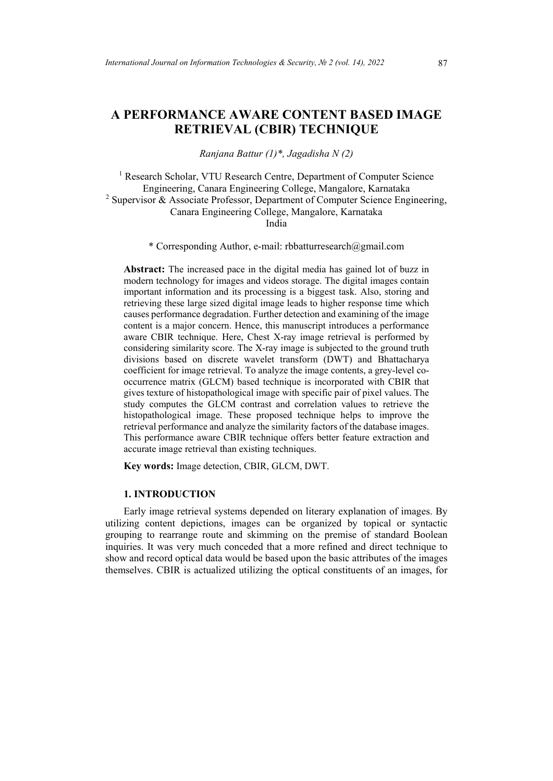# **A PERFORMANCE AWARE CONTENT BASED IMAGE RETRIEVAL (CBIR) TECHNIQUE**

*Ranjana Battur (1)\*, Jagadisha N (2)*

<sup>1</sup> Research Scholar, VTU Research Centre, Department of Computer Science Engineering, Canara Engineering College, Mangalore, Karnataka <sup>2</sup> Supervisor & Associate Professor, Department of Computer Science Engineering, Canara Engineering College, Mangalore, Karnataka India

\* Corresponding Author, e-mail: [rbbatturresearch@gmail.com](mailto:rbbatturresearch@gmail.com)

**Abstract:** The increased pace in the digital media has gained lot of buzz in modern technology for images and videos storage. The digital images contain important information and its processing is a biggest task. Also, storing and retrieving these large sized digital image leads to higher response time which causes performance degradation. Further detection and examining of the image content is a major concern. Hence, this manuscript introduces a performance aware CBIR technique. Here, Chest X-ray image retrieval is performed by considering similarity score. The X-ray image is subjected to the ground truth divisions based on discrete wavelet transform (DWT) and Bhattacharya coefficient for image retrieval. To analyze the image contents, a grey-level cooccurrence matrix (GLCM) based technique is incorporated with CBIR that gives texture of histopathological image with specific pair of pixel values. The study computes the GLCM contrast and correlation values to retrieve the histopathological image. These proposed technique helps to improve the retrieval performance and analyze the similarity factors of the database images. This performance aware CBIR technique offers better feature extraction and accurate image retrieval than existing techniques.

**Key words:** Image detection, CBIR, GLCM, DWT.

## **1. INTRODUCTION**

Early image retrieval systems depended on literary explanation of images. By utilizing content depictions, images can be organized by topical or syntactic grouping to rearrange route and skimming on the premise of standard Boolean inquiries. It was very much conceded that a more refined and direct technique to show and record optical data would be based upon the basic attributes of the images themselves. CBIR is actualized utilizing the optical constituents of an images, for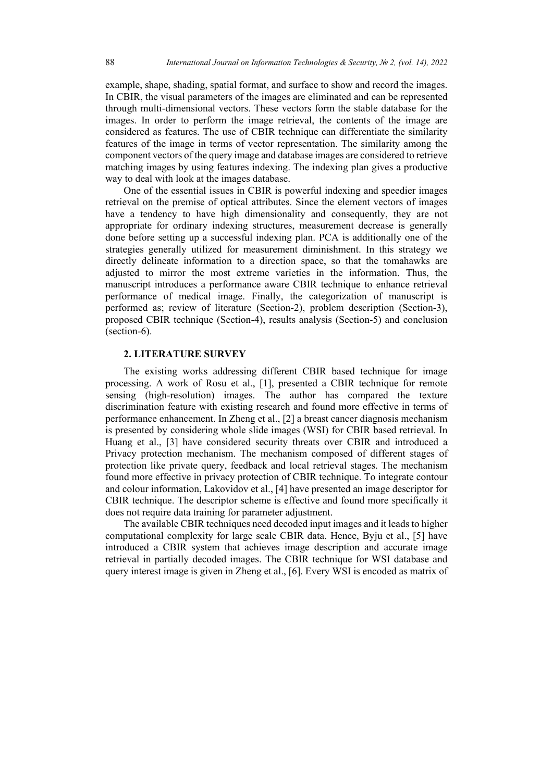example, shape, shading, spatial format, and surface to show and record the images. In CBIR, the visual parameters of the images are eliminated and can be represented through multi-dimensional vectors. These vectors form the stable database for the images. In order to perform the image retrieval, the contents of the image are considered as features. The use of CBIR technique can differentiate the similarity features of the image in terms of vector representation. The similarity among the component vectors of the query image and database images are considered to retrieve matching images by using features indexing. The indexing plan gives a productive way to deal with look at the images database.

One of the essential issues in CBIR is powerful indexing and speedier images retrieval on the premise of optical attributes. Since the element vectors of images have a tendency to have high dimensionality and consequently, they are not appropriate for ordinary indexing structures, measurement decrease is generally done before setting up a successful indexing plan. PCA is additionally one of the strategies generally utilized for measurement diminishment. In this strategy we directly delineate information to a direction space, so that the tomahawks are adjusted to mirror the most extreme varieties in the information. Thus, the manuscript introduces a performance aware CBIR technique to enhance retrieval performance of medical image. Finally, the categorization of manuscript is performed as; review of literature (Section-2), problem description (Section-3), proposed CBIR technique (Section-4), results analysis (Section-5) and conclusion (section-6).

### **2. LITERATURE SURVEY**

The existing works addressing different CBIR based technique for image processing. A work of Rosu et al., [1], presented a CBIR technique for remote sensing (high-resolution) images. The author has compared the texture discrimination feature with existing research and found more effective in terms of performance enhancement. In Zheng et al., [2] a breast cancer diagnosis mechanism is presented by considering whole slide images (WSI) for CBIR based retrieval. In Huang et al., [3] have considered security threats over CBIR and introduced a Privacy protection mechanism. The mechanism composed of different stages of protection like private query, feedback and local retrieval stages. The mechanism found more effective in privacy protection of CBIR technique. To integrate contour and colour information, Lakovidov et al., [4] have presented an image descriptor for CBIR technique. The descriptor scheme is effective and found more specifically it does not require data training for parameter adjustment.

The available CBIR techniques need decoded input images and it leads to higher computational complexity for large scale CBIR data. Hence, Byju et al., [5] have introduced a CBIR system that achieves image description and accurate image retrieval in partially decoded images. The CBIR technique for WSI database and query interest image is given in Zheng et al., [6]. Every WSI is encoded as matrix of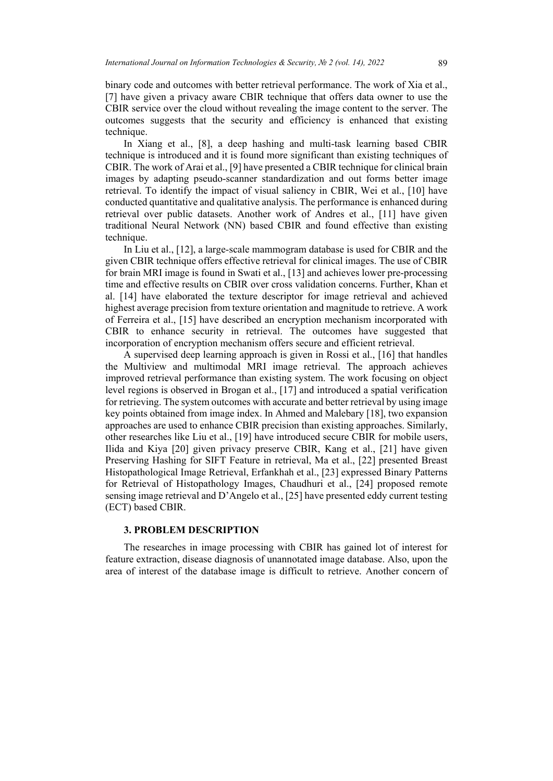binary code and outcomes with better retrieval performance. The work of Xia et al., [7] have given a privacy aware CBIR technique that offers data owner to use the CBIR service over the cloud without revealing the image content to the server. The outcomes suggests that the security and efficiency is enhanced that existing technique.

In Xiang et al., [8], a deep hashing and multi-task learning based CBIR technique is introduced and it is found more significant than existing techniques of CBIR. The work of Arai et al., [9] have presented a CBIR technique for clinical brain images by adapting pseudo-scanner standardization and out forms better image retrieval. To identify the impact of visual saliency in CBIR, Wei et al., [10] have conducted quantitative and qualitative analysis. The performance is enhanced during retrieval over public datasets. Another work of Andres et al., [11] have given traditional Neural Network (NN) based CBIR and found effective than existing technique.

In Liu et al., [12], a large-scale mammogram database is used for CBIR and the given CBIR technique offers effective retrieval for clinical images. The use of CBIR for brain MRI image is found in Swati et al., [13] and achieves lower pre-processing time and effective results on CBIR over cross validation concerns. Further, Khan et al. [14] have elaborated the texture descriptor for image retrieval and achieved highest average precision from texture orientation and magnitude to retrieve. A work of Ferreira et al., [15] have described an encryption mechanism incorporated with CBIR to enhance security in retrieval. The outcomes have suggested that incorporation of encryption mechanism offers secure and efficient retrieval.

A supervised deep learning approach is given in Rossi et al., [16] that handles the Multiview and multimodal MRI image retrieval. The approach achieves improved retrieval performance than existing system. The work focusing on object level regions is observed in Brogan et al., [17] and introduced a spatial verification for retrieving. The system outcomes with accurate and better retrieval by using image key points obtained from image index. In Ahmed and Malebary [18], two expansion approaches are used to enhance CBIR precision than existing approaches. Similarly, other researches like Liu et al., [19] have introduced secure CBIR for mobile users, Ilida and Kiya [20] given privacy preserve CBIR, Kang et al., [21] have given Preserving Hashing for SIFT Feature in retrieval, Ma et al., [22] presented Breast Histopathological Image Retrieval, Erfankhah et al., [23] expressed Binary Patterns for Retrieval of Histopathology Images, Chaudhuri et al., [24] proposed remote sensing image retrieval and D'Angelo et al., [25] have presented eddy current testing (ECT) based CBIR.

### **3. PROBLEM DESCRIPTION**

The researches in image processing with CBIR has gained lot of interest for feature extraction, disease diagnosis of unannotated image database. Also, upon the area of interest of the database image is difficult to retrieve. Another concern of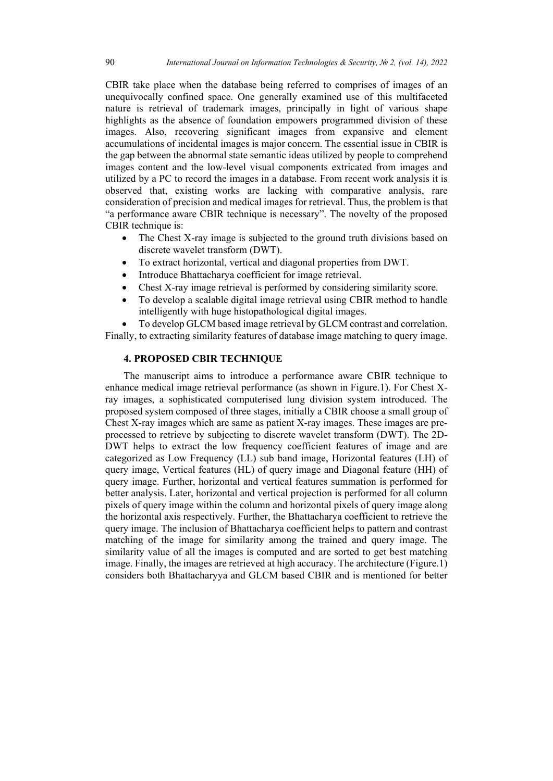CBIR take place when the database being referred to comprises of images of an unequivocally confined space. One generally examined use of this multifaceted nature is retrieval of trademark images, principally in light of various shape highlights as the absence of foundation empowers programmed division of these images. Also, recovering significant images from expansive and element accumulations of incidental images is major concern. The essential issue in CBIR is the gap between the abnormal state semantic ideas utilized by people to comprehend images content and the low-level visual components extricated from images and utilized by a PC to record the images in a database. From recent work analysis it is observed that, existing works are lacking with comparative analysis, rare consideration of precision and medical images for retrieval. Thus, the problem is that "a performance aware CBIR technique is necessary". The novelty of the proposed CBIR technique is:

- The Chest X-ray image is subjected to the ground truth divisions based on discrete wavelet transform (DWT).
- To extract horizontal, vertical and diagonal properties from DWT.
- Introduce Bhattacharya coefficient for image retrieval.
- Chest X-ray image retrieval is performed by considering similarity score.
- To develop a scalable digital image retrieval using CBIR method to handle intelligently with huge histopathological digital images.

• To develop GLCM based image retrieval by GLCM contrast and correlation. Finally, to extracting similarity features of database image matching to query image.

### **4. PROPOSED CBIR TECHNIQUE**

The manuscript aims to introduce a performance aware CBIR technique to enhance medical image retrieval performance (as shown in Figure.1). For Chest Xray images, a sophisticated computerised lung division system introduced. The proposed system composed of three stages, initially a CBIR choose a small group of Chest X-ray images which are same as patient X-ray images. These images are preprocessed to retrieve by subjecting to discrete wavelet transform (DWT). The 2D-DWT helps to extract the low frequency coefficient features of image and are categorized as Low Frequency (LL) sub band image, Horizontal features (LH) of query image, Vertical features (HL) of query image and Diagonal feature (HH) of query image. Further, horizontal and vertical features summation is performed for better analysis. Later, horizontal and vertical projection is performed for all column pixels of query image within the column and horizontal pixels of query image along the horizontal axis respectively. Further, the Bhattacharya coefficient to retrieve the query image. The inclusion of Bhattacharya coefficient helps to pattern and contrast matching of the image for similarity among the trained and query image. The similarity value of all the images is computed and are sorted to get best matching image. Finally, the images are retrieved at high accuracy. The architecture (Figure.1) considers both Bhattacharyya and GLCM based CBIR and is mentioned for better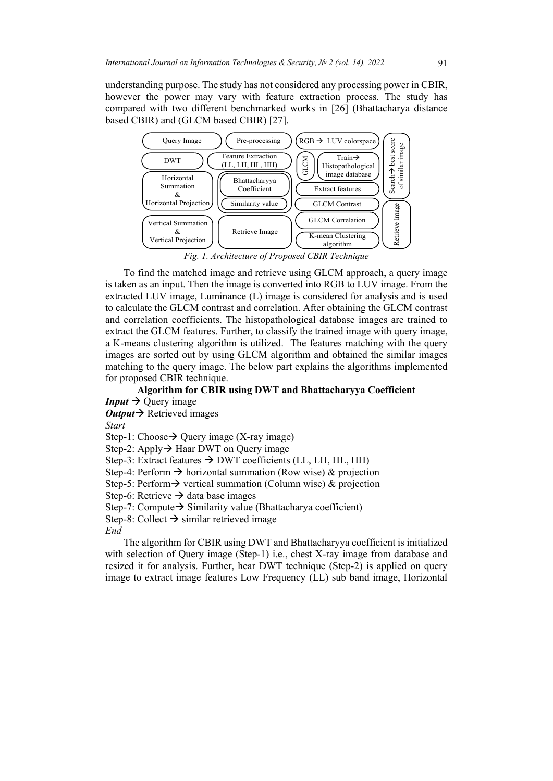understanding purpose. The study has not considered any processing power in CBIR, however the power may vary with feature extraction process. The study has compared with two different benchmarked works in [26] (Bhattacharya distance based CBIR) and (GLCM based CBIR) [27].



To find the matched image and retrieve using GLCM approach, a query image is taken as an input. Then the image is converted into RGB to LUV image. From the extracted LUV image, Luminance (L) image is considered for analysis and is used to calculate the GLCM contrast and correlation. After obtaining the GLCM contrast and correlation coefficients. The histopathological database images are trained to extract the GLCM features. Further, to classify the trained image with query image, a K-means clustering algorithm is utilized. The features matching with the query images are sorted out by using GLCM algorithm and obtained the similar images matching to the query image. The below part explains the algorithms implemented for proposed CBIR technique.

## **Algorithm for CBIR using DWT and Bhattacharyya Coefficient**

*Input*  $\rightarrow$  Ouery image

*Output* $\rightarrow$  Retrieved images

*Start*

Step-1: Choose $\rightarrow$  Ouery image (X-ray image)

Step-2: Apply $\rightarrow$  Haar DWT on Query image

Step-3: Extract features  $\rightarrow$  DWT coefficients (LL, LH, HL, HH)

Step-4: Perform  $\rightarrow$  horizontal summation (Row wise) & projection

Step-5: Perform $\rightarrow$  vertical summation (Column wise) & projection

Step-6: Retrieve  $\rightarrow$  data base images

Step-7: Compute $\rightarrow$  Similarity value (Bhattacharya coefficient)

Step-8: Collect  $\rightarrow$  similar retrieved image

*End*

The algorithm for CBIR using DWT and Bhattacharyya coefficient is initialized with selection of Query image (Step-1) i.e., chest X-ray image from database and resized it for analysis. Further, hear DWT technique (Step-2) is applied on query image to extract image features Low Frequency (LL) sub band image, Horizontal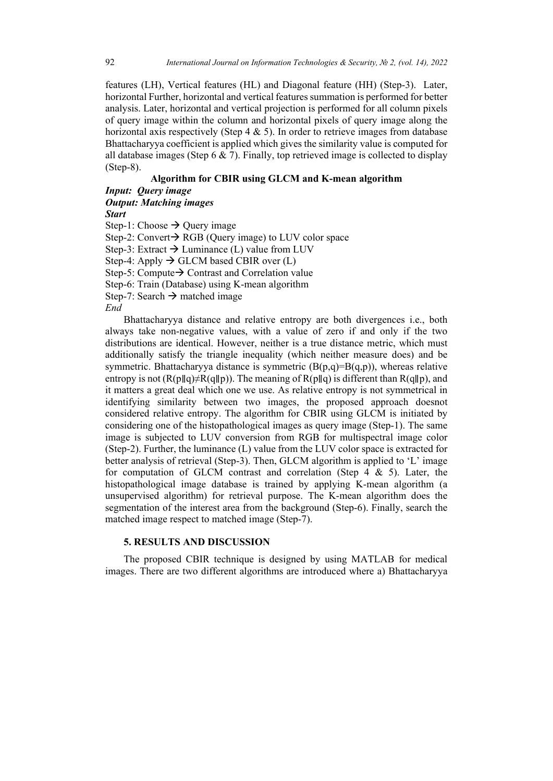features (LH), Vertical features (HL) and Diagonal feature (HH) (Step-3). Later, horizontal Further, horizontal and vertical features summation is performed for better analysis. Later, horizontal and vertical projection is performed for all column pixels of query image within the column and horizontal pixels of query image along the horizontal axis respectively (Step  $4 \& 5$ ). In order to retrieve images from database Bhattacharyya coefficient is applied which gives the similarity value is computed for all database images (Step  $6 \& 7$ ). Finally, top retrieved image is collected to display (Step-8).

## **Algorithm for CBIR using GLCM and K-mean algorithm**

## *Input: Query image*

## *Output: Matching images*

*Start*

Step-1: Choose  $\rightarrow$  Query image

Step-2: Convert $\rightarrow$  RGB (Query image) to LUV color space

Step-3: Extract  $\rightarrow$  Luminance (L) value from LUV

Step-4: Apply  $\rightarrow$  GLCM based CBIR over (L)

Step-5: Compute $\rightarrow$  Contrast and Correlation value

Step-6: Train (Database) using K-mean algorithm

Step-7: Search  $\rightarrow$  matched image

*End*

Bhattacharyya distance and relative entropy are both divergences i.e., both always take non-negative values, with a value of zero if and only if the two distributions are identical. However, neither is a true distance metric, which must additionally satisfy the triangle inequality (which neither measure does) and be symmetric. Bhattacharyya distance is symmetric  $(B(p,q)=B(q,p))$ , whereas relative entropy is not  $(R(p||q) \neq R(q||p))$ . The meaning of  $R(p||q)$  is different than  $R(q||p)$ , and it matters a great deal which one we use. As relative entropy is not symmetrical in identifying similarity between two images, the proposed approach doesnot considered relative entropy. The algorithm for CBIR using GLCM is initiated by considering one of the histopathological images as query image (Step-1). The same image is subjected to LUV conversion from RGB for multispectral image color (Step-2). Further, the luminance (L) value from the LUV color space is extracted for better analysis of retrieval (Step-3). Then, GLCM algorithm is applied to 'L' image for computation of GLCM contrast and correlation (Step  $4 \& 5$ ). Later, the histopathological image database is trained by applying K-mean algorithm (a unsupervised algorithm) for retrieval purpose. The K-mean algorithm does the segmentation of the interest area from the background (Step-6). Finally, search the matched image respect to matched image (Step-7).

### **5. RESULTS AND DISCUSSION**

The proposed CBIR technique is designed by using MATLAB for medical images. There are two different algorithms are introduced where a) Bhattacharyya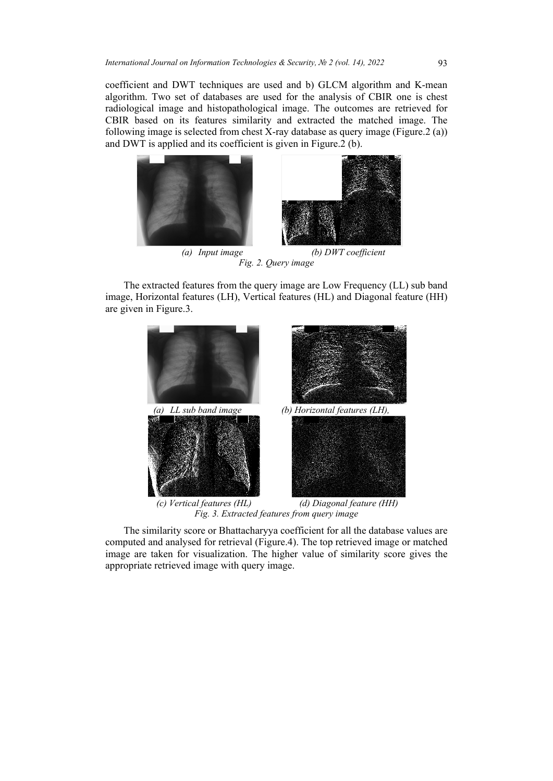coefficient and DWT techniques are used and b) GLCM algorithm and K-mean algorithm. Two set of databases are used for the analysis of CBIR one is chest radiological image and histopathological image. The outcomes are retrieved for CBIR based on its features similarity and extracted the matched image. The following image is selected from chest X-ray database as query image (Figure.2 (a)) and DWT is applied and its coefficient is given in Figure.2 (b).



*Fig. 2. Query image*

The extracted features from the query image are Low Frequency (LL) sub band image, Horizontal features (LH), Vertical features (HL) and Diagonal feature (HH) are given in Figure.3.



*Fig. 3. Extracted features from query image*

The similarity score or Bhattacharyya coefficient for all the database values are computed and analysed for retrieval (Figure.4). The top retrieved image or matched image are taken for visualization. The higher value of similarity score gives the appropriate retrieved image with query image.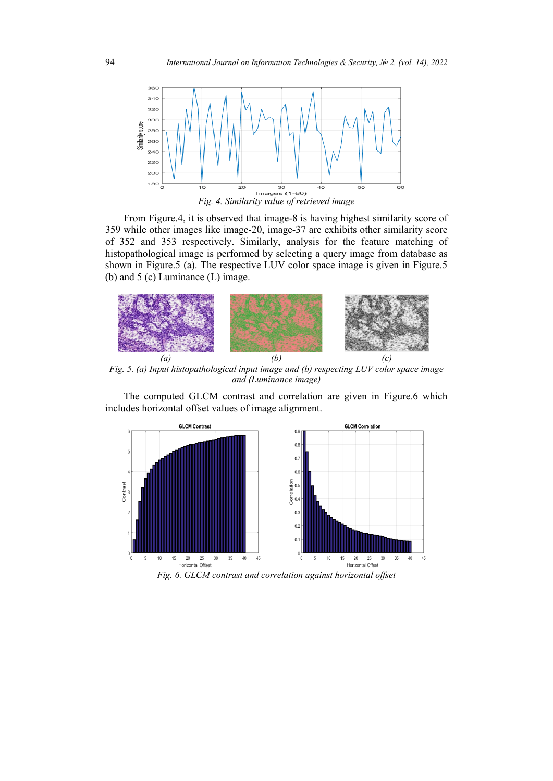

From Figure.4, it is observed that image-8 is having highest similarity score of 359 while other images like image-20, image-37 are exhibits other similarity score of 352 and 353 respectively. Similarly, analysis for the feature matching of histopathological image is performed by selecting a query image from database as shown in Figure.5 (a). The respective LUV color space image is given in Figure.5 (b) and 5 (c) Luminance (L) image.



*Fig. 5. (a) Input histopathological input image and (b) respecting LUV color space image and (Luminance image)*

The computed GLCM contrast and correlation are given in Figure.6 which includes horizontal offset values of image alignment.



*Fig. 6. GLCM contrast and correlation against horizontal offset*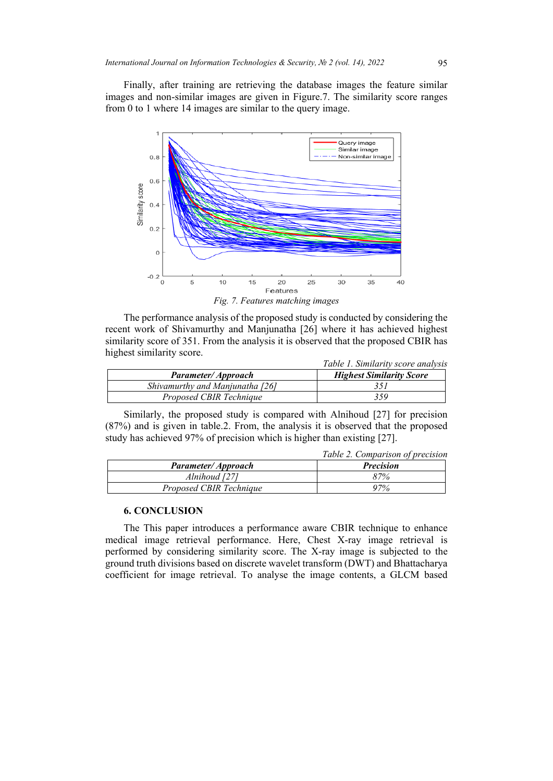Finally, after training are retrieving the database images the feature similar images and non-similar images are given in Figure.7. The similarity score ranges from 0 to 1 where 14 images are similar to the query image.



*Fig. 7. Features matching images*

The performance analysis of the proposed study is conducted by considering the recent work of Shivamurthy and Manjunatha [26] where it has achieved highest similarity score of 351. From the analysis it is observed that the proposed CBIR has highest similarity score. *Table 1. Similarity score analysis*

|                                 | Table 1. Similarity score analysis |
|---------------------------------|------------------------------------|
| Parameter/Approach              | <b>Highest Similarity Score</b>    |
| Shivamurthy and Manjunatha [26] |                                    |
| Proposed CBIR Technique         | 359                                |

Similarly, the proposed study is compared with Alnihoud [27] for precision (87%) and is given in table.2. From, the analysis it is observed that the proposed study has achieved 97% of precision which is higher than existing [27].

|                           | Table 2. Comparison of precision |
|---------------------------|----------------------------------|
| <b>Parameter/Approach</b> | <b>Precision</b>                 |
| Alnihoud [27]             | 87%                              |
| Proposed CBIR Technique   | 97%                              |

### **6. CONCLUSION**

The This paper introduces a performance aware CBIR technique to enhance medical image retrieval performance. Here, Chest X-ray image retrieval is performed by considering similarity score. The X-ray image is subjected to the ground truth divisions based on discrete wavelet transform (DWT) and Bhattacharya coefficient for image retrieval. To analyse the image contents, a GLCM based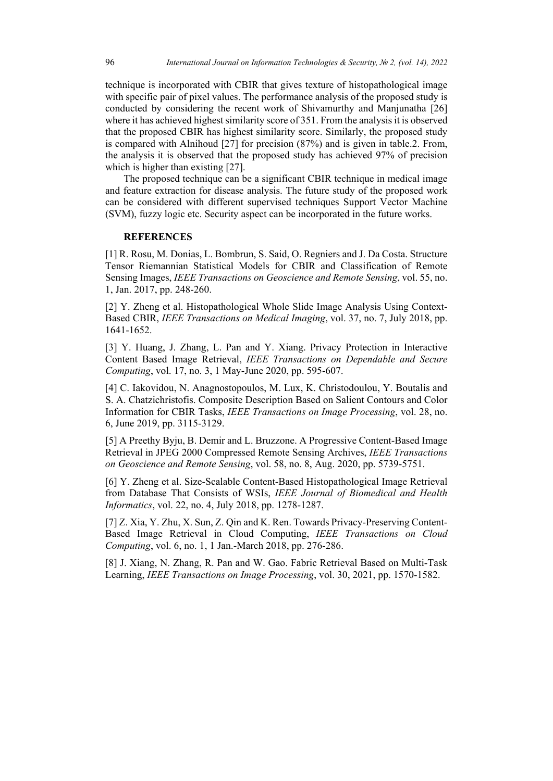technique is incorporated with CBIR that gives texture of histopathological image with specific pair of pixel values. The performance analysis of the proposed study is conducted by considering the recent work of Shivamurthy and Manjunatha [26] where it has achieved highest similarity score of 351. From the analysis it is observed that the proposed CBIR has highest similarity score. Similarly, the proposed study is compared with Alnihoud [27] for precision (87%) and is given in table.2. From, the analysis it is observed that the proposed study has achieved 97% of precision which is higher than existing [27].

The proposed technique can be a significant CBIR technique in medical image and feature extraction for disease analysis. The future study of the proposed work can be considered with different supervised techniques Support Vector Machine (SVM), fuzzy logic etc. Security aspect can be incorporated in the future works.

### **REFERENCES**

[1] R. Rosu, M. Donias, L. Bombrun, S. Said, O. Regniers and J. Da Costa. Structure Tensor Riemannian Statistical Models for CBIR and Classification of Remote Sensing Images, *IEEE Transactions on Geoscience and Remote Sensing*, vol. 55, no. 1, Jan. 2017, pp. 248-260.

[2] Y. Zheng et al. Histopathological Whole Slide Image Analysis Using Context-Based CBIR, *IEEE Transactions on Medical Imaging*, vol. 37, no. 7, July 2018, pp. 1641-1652.

[3] Y. Huang, J. Zhang, L. Pan and Y. Xiang. Privacy Protection in Interactive Content Based Image Retrieval, *IEEE Transactions on Dependable and Secure Computing*, vol. 17, no. 3, 1 May-June 2020, pp. 595-607.

[4] C. Iakovidou, N. Anagnostopoulos, M. Lux, K. Christodoulou, Y. Boutalis and S. A. Chatzichristofis. Composite Description Based on Salient Contours and Color Information for CBIR Tasks, *IEEE Transactions on Image Processing*, vol. 28, no. 6, June 2019, pp. 3115-3129.

[5] A Preethy Byju, B. Demir and L. Bruzzone. A Progressive Content-Based Image Retrieval in JPEG 2000 Compressed Remote Sensing Archives, *IEEE Transactions on Geoscience and Remote Sensing*, vol. 58, no. 8, Aug. 2020, pp. 5739-5751.

[6] Y. Zheng et al. Size-Scalable Content-Based Histopathological Image Retrieval from Database That Consists of WSIs, *IEEE Journal of Biomedical and Health Informatics*, vol. 22, no. 4, July 2018, pp. 1278-1287.

[7] Z. Xia, Y. Zhu, X. Sun, Z. Qin and K. Ren. Towards Privacy-Preserving Content-Based Image Retrieval in Cloud Computing, *IEEE Transactions on Cloud Computing*, vol. 6, no. 1, 1 Jan.-March 2018, pp. 276-286.

[8] J. Xiang, N. Zhang, R. Pan and W. Gao. Fabric Retrieval Based on Multi-Task Learning, *IEEE Transactions on Image Processing*, vol. 30, 2021, pp. 1570-1582.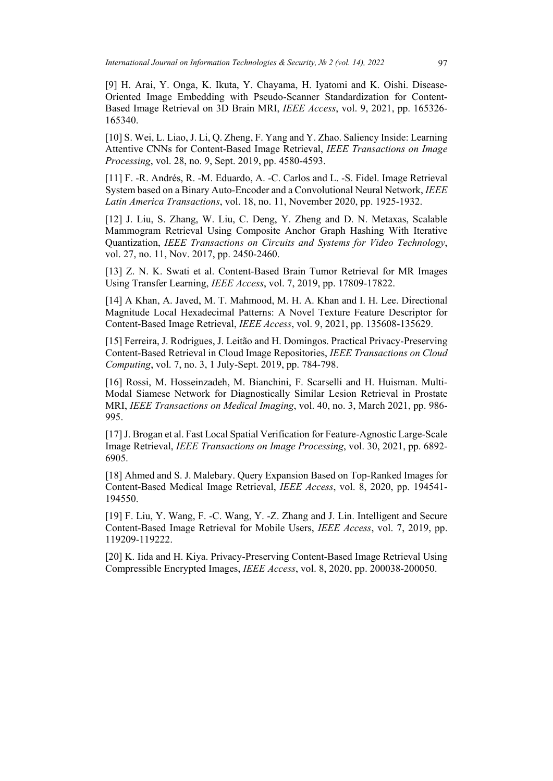[9] H. Arai, Y. Onga, K. Ikuta, Y. Chayama, H. Iyatomi and K. Oishi. Disease-Oriented Image Embedding with Pseudo-Scanner Standardization for Content-Based Image Retrieval on 3D Brain MRI, *IEEE Access*, vol. 9, 2021, pp. 165326- 165340.

[10] S. Wei, L. Liao, J. Li, Q. Zheng, F. Yang and Y. Zhao. Saliency Inside: Learning Attentive CNNs for Content-Based Image Retrieval, *IEEE Transactions on Image Processing*, vol. 28, no. 9, Sept. 2019, pp. 4580-4593.

[11] F. -R. Andrés, R. -M. Eduardo, A. -C. Carlos and L. -S. Fidel. Image Retrieval System based on a Binary Auto-Encoder and a Convolutional Neural Network, *IEEE Latin America Transactions*, vol. 18, no. 11, November 2020, pp. 1925-1932.

[12] J. Liu, S. Zhang, W. Liu, C. Deng, Y. Zheng and D. N. Metaxas, Scalable Mammogram Retrieval Using Composite Anchor Graph Hashing With Iterative Quantization, *IEEE Transactions on Circuits and Systems for Video Technology*, vol. 27, no. 11, Nov. 2017, pp. 2450-2460.

[13] Z. N. K. Swati et al. Content-Based Brain Tumor Retrieval for MR Images Using Transfer Learning, *IEEE Access*, vol. 7, 2019, pp. 17809-17822.

[14] A Khan, A. Javed, M. T. Mahmood, M. H. A. Khan and I. H. Lee. Directional Magnitude Local Hexadecimal Patterns: A Novel Texture Feature Descriptor for Content-Based Image Retrieval, *IEEE Access*, vol. 9, 2021, pp. 135608-135629.

[15] Ferreira, J. Rodrigues, J. Leitão and H. Domingos. Practical Privacy-Preserving Content-Based Retrieval in Cloud Image Repositories, *IEEE Transactions on Cloud Computing*, vol. 7, no. 3, 1 July-Sept. 2019, pp. 784-798.

[16] Rossi, M. Hosseinzadeh, M. Bianchini, F. Scarselli and H. Huisman. Multi-Modal Siamese Network for Diagnostically Similar Lesion Retrieval in Prostate MRI, *IEEE Transactions on Medical Imaging*, vol. 40, no. 3, March 2021, pp. 986- 995.

[17] J. Brogan et al. Fast Local Spatial Verification for Feature-Agnostic Large-Scale Image Retrieval, *IEEE Transactions on Image Processing*, vol. 30, 2021, pp. 6892- 6905.

[18] Ahmed and S. J. Malebary. Query Expansion Based on Top-Ranked Images for Content-Based Medical Image Retrieval, *IEEE Access*, vol. 8, 2020, pp. 194541- 194550.

[19] F. Liu, Y. Wang, F. -C. Wang, Y. -Z. Zhang and J. Lin. Intelligent and Secure Content-Based Image Retrieval for Mobile Users, *IEEE Access*, vol. 7, 2019, pp. 119209-119222.

[20] K. Iida and H. Kiya. Privacy-Preserving Content-Based Image Retrieval Using Compressible Encrypted Images, *IEEE Access*, vol. 8, 2020, pp. 200038-200050.